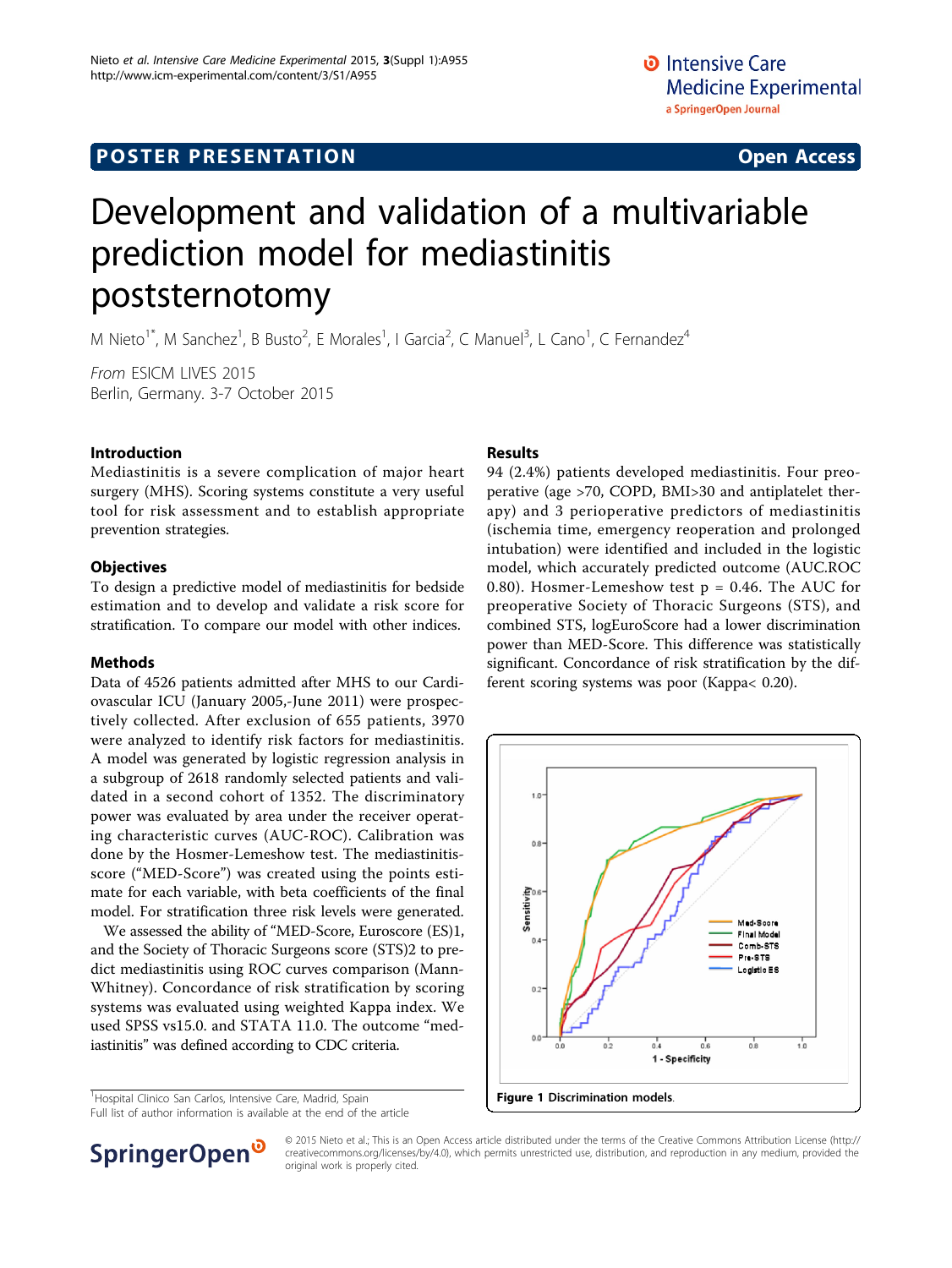# Development and validation of a multivariable prediction model for mediastinitis poststernotomy

M Nieto<sup>1\*</sup>, M Sanchez<sup>1</sup>, B Busto<sup>2</sup>, E Morales<sup>1</sup>, I Garcia<sup>2</sup>, C Manuel<sup>3</sup>, L Cano<sup>1</sup>, C Fernandez<sup>4</sup>

From ESICM LIVES 2015 Berlin, Germany. 3-7 October 2015

# Introduction

Mediastinitis is a severe complication of major heart surgery (MHS). Scoring systems constitute a very useful tool for risk assessment and to establish appropriate prevention strategies.

### **Objectives**

To design a predictive model of mediastinitis for bedside estimation and to develop and validate a risk score for stratification. To compare our model with other indices.

### Methods

Data of 4526 patients admitted after MHS to our Cardiovascular ICU (January 2005,-June 2011) were prospectively collected. After exclusion of 655 patients, 3970 were analyzed to identify risk factors for mediastinitis. A model was generated by logistic regression analysis in a subgroup of 2618 randomly selected patients and validated in a second cohort of 1352. The discriminatory power was evaluated by area under the receiver operating characteristic curves (AUC-ROC). Calibration was done by the Hosmer-Lemeshow test. The mediastinitisscore ("MED-Score") was created using the points estimate for each variable, with beta coefficients of the final model. For stratification three risk levels were generated.

We assessed the ability of "MED-Score, Euroscore (ES)1, and the Society of Thoracic Surgeons score (STS)2 to predict mediastinitis using ROC curves comparison (Mann-Whitney). Concordance of risk stratification by scoring systems was evaluated using weighted Kappa index. We used SPSS vs15.0. and STATA 11.0. The outcome "mediastinitis" was defined according to CDC criteria.

<sup>1</sup> Hospital Clinico San Carlos, Intensive Care, Madrid, Spain

Full list of author information is available at the end of the article

## Results

94 (2.4%) patients developed mediastinitis. Four preoperative (age >70, COPD, BMI>30 and antiplatelet therapy) and 3 perioperative predictors of mediastinitis (ischemia time, emergency reoperation and prolonged intubation) were identified and included in the logistic model, which accurately predicted outcome (AUC.ROC 0.80). Hosmer-Lemeshow test  $p = 0.46$ . The AUC for preoperative Society of Thoracic Surgeons (STS), and combined STS, logEuroScore had a lower discrimination power than MED-Score. This difference was statistically significant. Concordance of risk stratification by the different scoring systems was poor (Kappa< 0.20).





© 2015 Nieto et al.; This is an Open Access article distributed under the terms of the Creative Commons Attribution License [\(http://](http://creativecommons.org/licenses/by/4.0) [creativecommons.org/licenses/by/4.0](http://creativecommons.org/licenses/by/4.0)), which permits unrestricted use, distribution, and reproduction in any medium, provided the original work is properly cited.